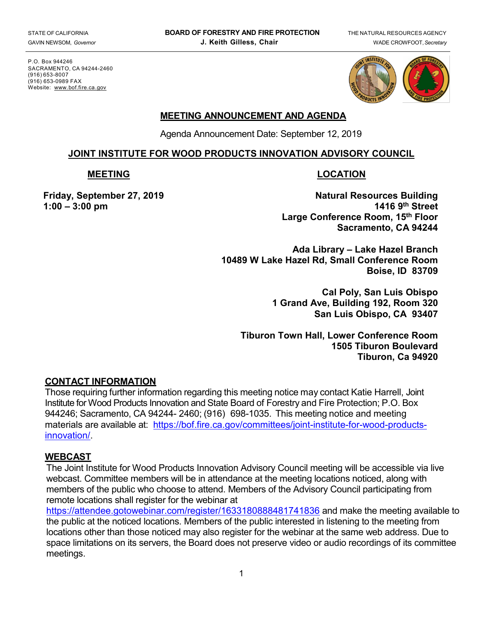P.O. Box 944246 SACRAMENTO, CA 94244-2460 (916) 653-8007 (916) 653-0989 FAX Website: [www.bof.fire.ca.gov](http://www.bof.fire.ca.gov/)



#### **MEETING ANNOUNCEMENT AND AGENDA**

Agenda Announcement Date: September 12, 2019

#### **JOINT INSTITUTE FOR WOOD PRODUCTS INNOVATION ADVISORY COUNCIL**

#### **MEETING LOCATION**

**1:00 – 3:00 pm** 

**Friday, September 27, 2019 Natural Resources Building Large Conference Room, 15th Floor Sacramento, CA 94244**

> **Ada Library – Lake Hazel Branch 10489 W Lake Hazel Rd, Small Conference Room Boise, ID 83709**

> > **Cal Poly, San Luis Obispo 1 Grand Ave, Building 192, Room 320 San Luis Obispo, CA 93407**

**Tiburon Town Hall, Lower Conference Room 1505 Tiburon Boulevard Tiburon, Ca 94920**

## **CONTACT INFORMATION**

Those requiring further information regarding this meeting notice may contact Katie Harrell, Joint Institute for Wood Products Innovation and State Board of Forestry and Fire Protection; P.O. Box 944246; Sacramento, CA 94244- 2460; (916) 698-1035. This meeting notice and meeting materials are available at: [https://bof.fire.ca.gov/committees/joint-institute-for-wood-products](https://gcc01.safelinks.protection.outlook.com/?url=https%3A%2F%2Fbof.fire.ca.gov%2Fcommittees%2Fjoint-institute-for-wood-products-innovation%2F&data=02%7C01%7Ckatie.harrell%40bof.ca.gov%7C1e4bb9e5a5a6412f53b708d6bea30372%7C447a4ca05405454dad68c98a520261f8%7C1%7C0%7C636906004682838515&sdata=dLTbmWcm%2B5cTsrTxX3bGy5nDAoUEBR%2FhSZdGNY0mIeA%3D&reserved=0)[innovation/.](https://gcc01.safelinks.protection.outlook.com/?url=https%3A%2F%2Fbof.fire.ca.gov%2Fcommittees%2Fjoint-institute-for-wood-products-innovation%2F&data=02%7C01%7Ckatie.harrell%40bof.ca.gov%7C1e4bb9e5a5a6412f53b708d6bea30372%7C447a4ca05405454dad68c98a520261f8%7C1%7C0%7C636906004682838515&sdata=dLTbmWcm%2B5cTsrTxX3bGy5nDAoUEBR%2FhSZdGNY0mIeA%3D&reserved=0)

## **WEBCAST**

The Joint Institute for Wood Products Innovation Advisory Council meeting will be accessible via live webcast. Committee members will be in attendance at the meeting locations noticed, along with members of the public who choose to attend. Members of the Advisory Council participating from remote locations shall register for the webinar at

[https://attendee.gotowebinar.com/register/1633180888481741836](https://gcc01.safelinks.protection.outlook.com/?url=https%3A%2F%2Fattendee.gotowebinar.com%2Fregister%2F1633180888481741836&data=02%7C01%7Ckatie.harrell%40bof.ca.gov%7C9af6f67d48cf4435cc4c08d7361e901f%7C447a4ca05405454dad68c98a520261f8%7C1%7C0%7C637037377201863550&sdata=CW4t20108zKpZpzMAFxp1BjZAS167PBJwWIPl1ehI64%3D&reserved=0) and make the meeting available to the public at the noticed locations. Members of the public interested in listening to the meeting from locations other than those noticed may also register for the webinar at the same web address. Due to space limitations on its servers, the Board does not preserve video or audio recordings of its committee meetings.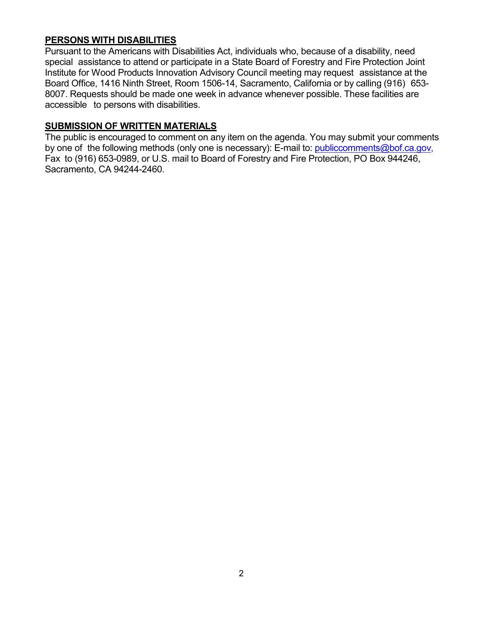#### **PERSONS WITH DISABILITIES**

Pursuant to the Americans with Disabilities Act, individuals who, because of a disability, need special assistance to attend or participate in a State Board of Forestry and Fire Protection Joint Institute for Wood Products Innovation Advisory Council meeting may request assistance at the Board Office, 1416 Ninth Street, Room 1506-14, Sacramento, California or by calling (916) 653- 8007. Requests should be made one week in advance whenever possible. These facilities are accessible to persons with disabilities.

#### **SUBMISSION OF WRITTEN MATERIALS**

The public is encouraged to comment on any item on the agenda. You may submit your comments by one of the following methods (only one is necessary): E-mail t[o:](mailto:board.public.comments@fire.ca.gov) [publiccomments@bof.ca.gov,](mailto:board.public.comments@fire.ca.gov) Fax to (916) 653-0989, or U.S. mail to Board of Forestry and Fire Protection, PO Box 944246, Sacramento, CA 94244-2460.